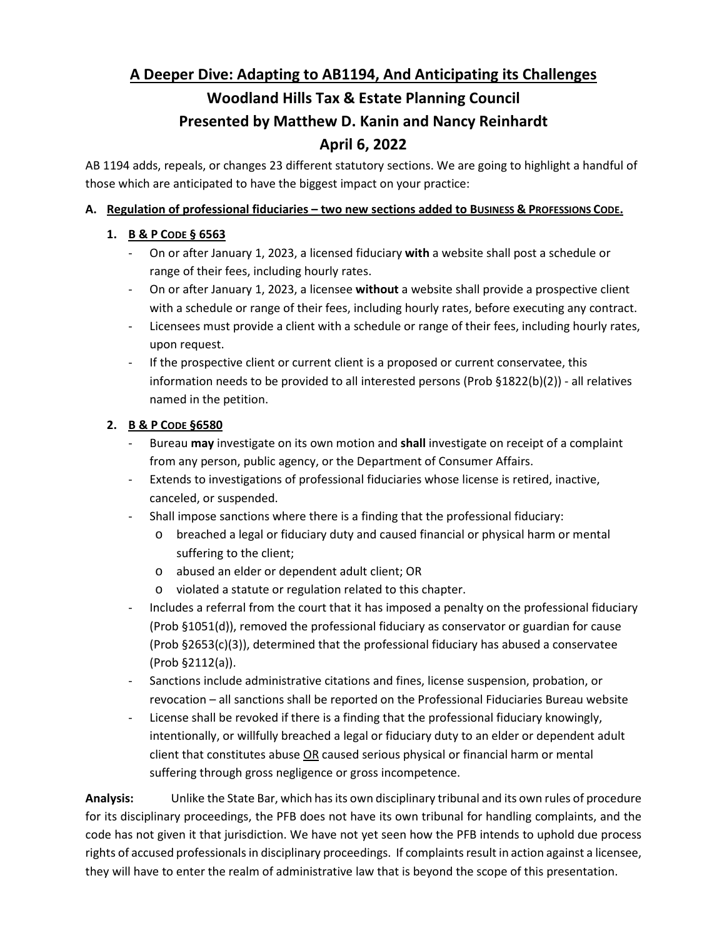# **A Deeper Dive: Adapting to AB1194, And Anticipating its Challenges Woodland Hills Tax & Estate Planning Council Presented by Matthew D. Kanin and Nancy Reinhardt April 6, 2022**

AB 1194 adds, repeals, or changes 23 different statutory sections. We are going to highlight a handful of those which are anticipated to have the biggest impact on your practice:

# **A. Regulation of professional fiduciaries – two new sections added to BUSINESS & PROFESSIONS CODE.**

# **1. B & P CODE § 6563**

- On or after January 1, 2023, a licensed fiduciary **with** a website shall post a schedule or range of their fees, including hourly rates.
- On or after January 1, 2023, a licensee **without** a website shall provide a prospective client with a schedule or range of their fees, including hourly rates, before executing any contract.
- Licensees must provide a client with a schedule or range of their fees, including hourly rates, upon request.
- If the prospective client or current client is a proposed or current conservatee, this information needs to be provided to all interested persons (Prob §1822(b)(2)) - all relatives named in the petition.

# **2. B & P CODE §6580**

- Bureau **may** investigate on its own motion and **shall** investigate on receipt of a complaint from any person, public agency, or the Department of Consumer Affairs.
- Extends to investigations of professional fiduciaries whose license is retired, inactive, canceled, or suspended.
- Shall impose sanctions where there is a finding that the professional fiduciary:
	- o breached a legal or fiduciary duty and caused financial or physical harm or mental suffering to the client;
	- o abused an elder or dependent adult client; OR
	- o violated a statute or regulation related to this chapter.
- Includes a referral from the court that it has imposed a penalty on the professional fiduciary (Prob §1051(d)), removed the professional fiduciary as conservator or guardian for cause (Prob §2653(c)(3)), determined that the professional fiduciary has abused a conservatee (Prob §2112(a)).
- Sanctions include administrative citations and fines, license suspension, probation, or revocation – all sanctions shall be reported on the Professional Fiduciaries Bureau website
- License shall be revoked if there is a finding that the professional fiduciary knowingly, intentionally, or willfully breached a legal or fiduciary duty to an elder or dependent adult client that constitutes abuse OR caused serious physical or financial harm or mental suffering through gross negligence or gross incompetence.

**Analysis:** Unlike the State Bar, which has its own disciplinary tribunal and its own rules of procedure for its disciplinary proceedings, the PFB does not have its own tribunal for handling complaints, and the code has not given it that jurisdiction. We have not yet seen how the PFB intends to uphold due process rights of accused professionals in disciplinary proceedings. If complaints result in action against a licensee, they will have to enter the realm of administrative law that is beyond the scope of this presentation.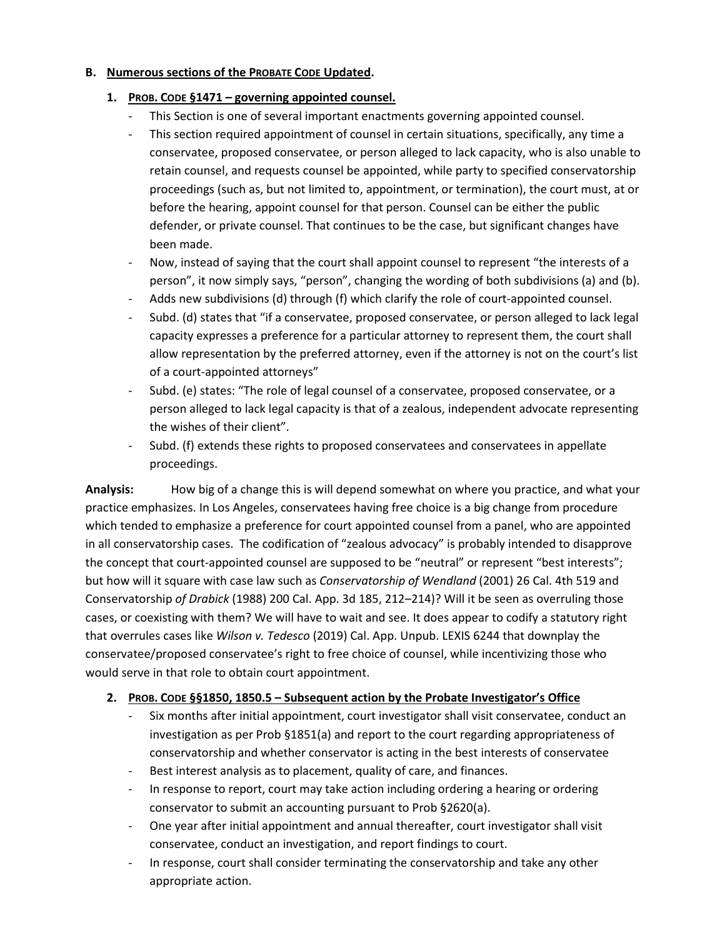#### **B. Numerous sections of the PROBATE CODE Updated.**

#### **1. PROB. CODE §1471 – governing appointed counsel.**

- This Section is one of several important enactments governing appointed counsel.
- This section required appointment of counsel in certain situations, specifically, any time a conservatee, proposed conservatee, or person alleged to lack capacity, who is also unable to retain counsel, and requests counsel be appointed, while party to specified conservatorship proceedings (such as, but not limited to, appointment, or termination), the court must, at or before the hearing, appoint counsel for that person. Counsel can be either the public defender, or private counsel. That continues to be the case, but significant changes have been made.
- Now, instead of saying that the court shall appoint counsel to represent "the interests of a person", it now simply says, "person", changing the wording of both subdivisions (a) and (b).
- Adds new subdivisions (d) through (f) which clarify the role of court-appointed counsel.
- Subd. (d) states that "if a conservatee, proposed conservatee, or person alleged to lack legal capacity expresses a preference for a particular attorney to represent them, the court shall allow representation by the preferred attorney, even if the attorney is not on the court's list of a court-appointed attorneys"
- Subd. (e) states: "The role of legal counsel of a conservatee, proposed conservatee, or a person alleged to lack legal capacity is that of a zealous, independent advocate representing the wishes of their client".
- Subd. (f) extends these rights to proposed conservatees and conservatees in appellate proceedings.

**Analysis:** How big of a change this is will depend somewhat on where you practice, and what your practice emphasizes. In Los Angeles, conservatees having free choice is a big change from procedure which tended to emphasize a preference for court appointed counsel from a panel, who are appointed in all conservatorship cases. The codification of "zealous advocacy" is probably intended to disapprove the concept that court-appointed counsel are supposed to be "neutral" or represent "best interests"; but how will it square with case law such as *Conservatorship of Wendland* (2001) 26 Cal. 4th 519 and Conservatorship *of Drabick* (1988) 200 Cal. App. 3d 185, 212–214)? Will it be seen as overruling those cases, or coexisting with them? We will have to wait and see. It does appear to codify a statutory right that overrules cases like *Wilson v. Tedesco* (2019) Cal. App. Unpub. LEXIS 6244 that downplay the conservatee/proposed conservatee's right to free choice of counsel, while incentivizing those who would serve in that role to obtain court appointment.

#### **2. PROB. CODE §§1850, 1850.5 – Subsequent action by the Probate Investigator's Office**

- Six months after initial appointment, court investigator shall visit conservatee, conduct an investigation as per Prob §1851(a) and report to the court regarding appropriateness of conservatorship and whether conservator is acting in the best interests of conservatee
- Best interest analysis as to placement, quality of care, and finances.
- In response to report, court may take action including ordering a hearing or ordering conservator to submit an accounting pursuant to Prob §2620(a).
- One year after initial appointment and annual thereafter, court investigator shall visit conservatee, conduct an investigation, and report findings to court.
- In response, court shall consider terminating the conservatorship and take any other appropriate action.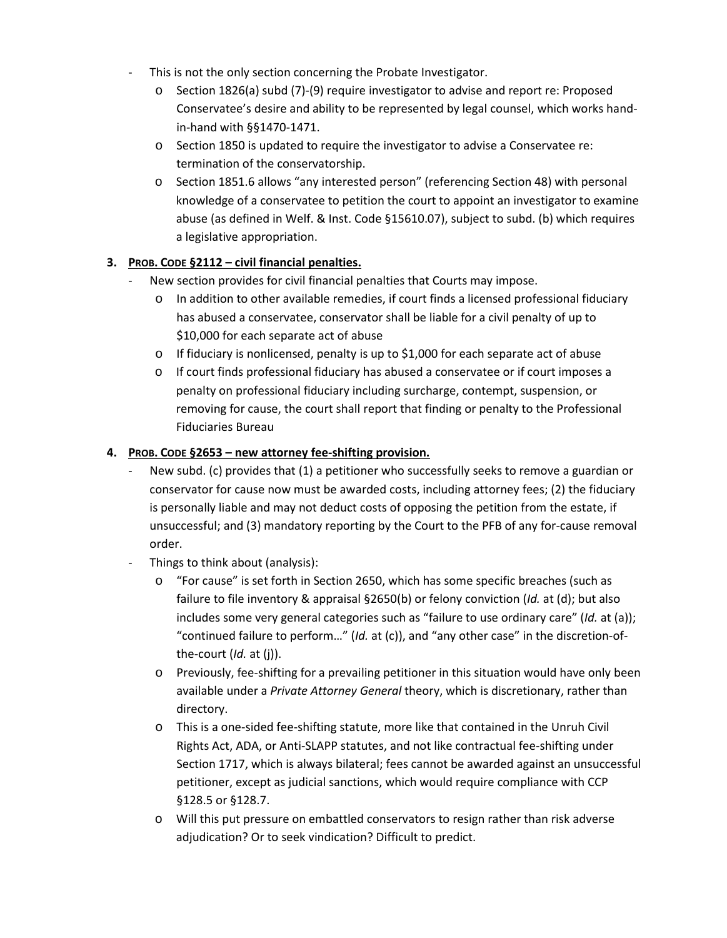- This is not the only section concerning the Probate Investigator.
	- o Section 1826(a) subd (7)-(9) require investigator to advise and report re: Proposed Conservatee's desire and ability to be represented by legal counsel, which works handin-hand with §§1470-1471.
	- o Section 1850 is updated to require the investigator to advise a Conservatee re: termination of the conservatorship.
	- o Section 1851.6 allows "any interested person" (referencing Section 48) with personal knowledge of a conservatee to petition the court to appoint an investigator to examine abuse (as defined in Welf. & Inst. Code §15610.07), subject to subd. (b) which requires a legislative appropriation.

## **3. PROB. CODE §2112 – civil financial penalties.**

- New section provides for civil financial penalties that Courts may impose.
	- o In addition to other available remedies, if court finds a licensed professional fiduciary has abused a conservatee, conservator shall be liable for a civil penalty of up to \$10,000 for each separate act of abuse
	- $\circ$  If fiduciary is nonlicensed, penalty is up to \$1,000 for each separate act of abuse
	- o If court finds professional fiduciary has abused a conservatee or if court imposes a penalty on professional fiduciary including surcharge, contempt, suspension, or removing for cause, the court shall report that finding or penalty to the Professional Fiduciaries Bureau

## **4. PROB. CODE §2653 – new attorney fee-shifting provision.**

- New subd. (c) provides that (1) a petitioner who successfully seeks to remove a guardian or conservator for cause now must be awarded costs, including attorney fees; (2) the fiduciary is personally liable and may not deduct costs of opposing the petition from the estate, if unsuccessful; and (3) mandatory reporting by the Court to the PFB of any for-cause removal order.
- Things to think about (analysis):
	- o "For cause" is set forth in Section 2650, which has some specific breaches (such as failure to file inventory & appraisal §2650(b) or felony conviction (*Id.* at (d); but also includes some very general categories such as "failure to use ordinary care" (*Id.* at (a)); "continued failure to perform…" (*Id.* at (c)), and "any other case" in the discretion-ofthe-court (*Id.* at (j)).
	- o Previously, fee-shifting for a prevailing petitioner in this situation would have only been available under a *Private Attorney General* theory, which is discretionary, rather than directory.
	- o This is a one-sided fee-shifting statute, more like that contained in the Unruh Civil Rights Act, ADA, or Anti-SLAPP statutes, and not like contractual fee-shifting under Section 1717, which is always bilateral; fees cannot be awarded against an unsuccessful petitioner, except as judicial sanctions, which would require compliance with CCP §128.5 or §128.7.
	- o Will this put pressure on embattled conservators to resign rather than risk adverse adjudication? Or to seek vindication? Difficult to predict.